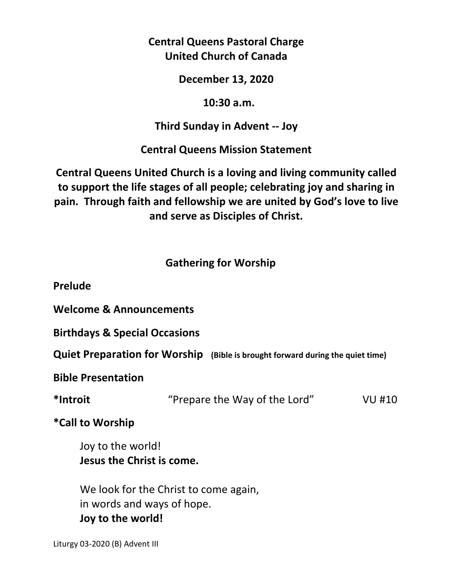**Central Queens Pastoral Charge United Church of Canada** 

**December 13, 2020** 

 **10:30 a.m.** 

**Third Sunday in Advent -- Joy** 

**Central Queens Mission Statement** 

**Central Queens United Church is a loving and living community called to support the life stages of all people; celebrating joy and sharing in pain. Through faith and fellowship we are united by God's love to live and serve as Disciples of Christ.**

# **Gathering for Worship**

**Prelude** 

**Welcome & Announcements** 

**Birthdays & Special Occasions** 

**Quiet Preparation for Worship (Bible is brought forward during the quiet time)** 

**Bible Presentation** 

**\*Introit** "Prepare the Way of the Lord" VU #10

**\*Call to Worship** 

Joy to the world!  **Jesus the Christ is come.** 

 We look for the Christ to come again, in words and ways of hope.  **Joy to the world!** 

Liturgy 03-2020 (B) Advent III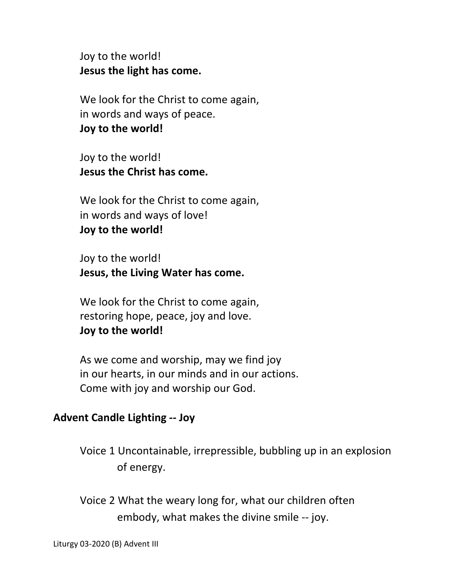Joy to the world!  **Jesus the light has come.** 

We look for the Christ to come again, in words and ways of peace.  **Joy to the world!** 

 Joy to the world!  **Jesus the Christ has come.** 

 We look for the Christ to come again, in words and ways of love!  **Joy to the world!** 

 Joy to the world!  **Jesus, the Living Water has come.** 

 We look for the Christ to come again, restoring hope, peace, joy and love. **Joy to the world!** 

 As we come and worship, may we find joy in our hearts, in our minds and in our actions. Come with joy and worship our God.

# **Advent Candle Lighting -- Joy**

Voice 1 Uncontainable, irrepressible, bubbling up in an explosion of energy.

Voice 2 What the weary long for, what our children often embody, what makes the divine smile -- joy.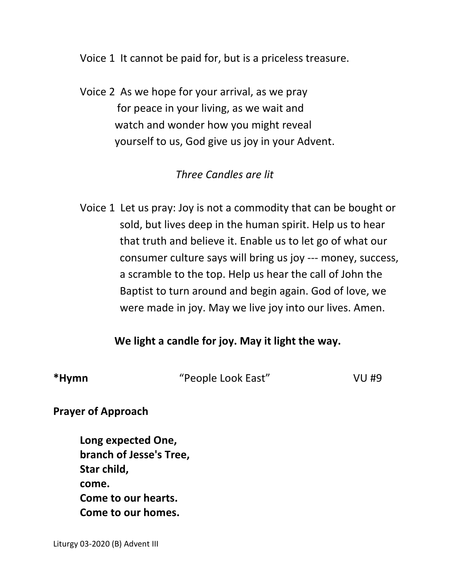Voice 1 It cannot be paid for, but is a priceless treasure.

 Voice 2 As we hope for your arrival, as we pray for peace in your living, as we wait and watch and wonder how you might reveal yourself to us, God give us joy in your Advent.

# *Three Candles are lit*

 Voice 1 Let us pray: Joy is not a commodity that can be bought or sold, but lives deep in the human spirit. Help us to hear that truth and believe it. Enable us to let go of what our consumer culture says will bring us joy --- money, success, a scramble to the top. Help us hear the call of John the Baptist to turn around and begin again. God of love, we were made in joy. May we live joy into our lives. Amen.

## **We light a candle for joy. May it light the way.**

**\*Hymn** "People Look East" VU #9

**Prayer of Approach** 

 **Long expected One, branch of Jesse's Tree, Star child, come. Come to our hearts. Come to our homes.**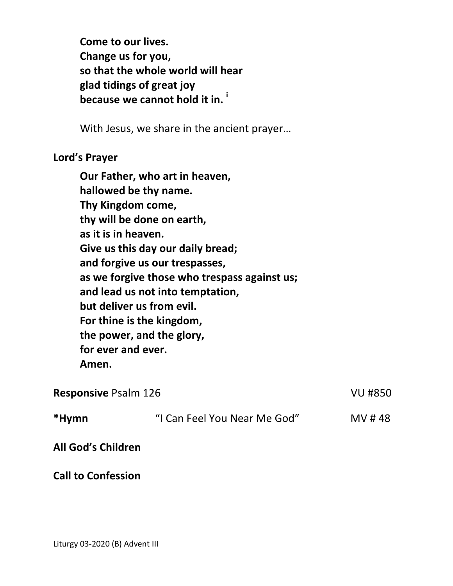**Come to our lives. Change us for you, so that the whole world will hear glad tidings of great joy because we cannot hold it in. <sup>i</sup>**

With Jesus, we share in the ancient prayer…

### **Lord's Prayer**

**Our Father, who art in heaven, hallowed be thy name. Thy Kingdom come, thy will be done on earth, as it is in heaven. Give us this day our daily bread; and forgive us our trespasses, as we forgive those who trespass against us; and lead us not into temptation, but deliver us from evil. For thine is the kingdom, the power, and the glory, for ever and ever. Amen.** 

| <b>Responsive Psalm 126</b> |                              | VU #850 |
|-----------------------------|------------------------------|---------|
| *Hymn                       | "I Can Feel You Near Me God" | MV #48  |
| <b>All God's Children</b>   |                              |         |

**Call to Confession**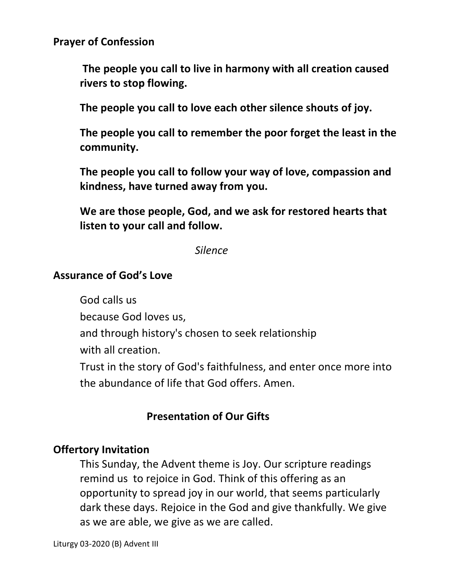**Prayer of Confession** 

 **The people you call to live in harmony with all creation caused rivers to stop flowing.** 

 **The people you call to love each other silence shouts of joy.** 

 **The people you call to remember the poor forget the least in the community.** 

 **The people you call to follow your way of love, compassion and kindness, have turned away from you.** 

 **We are those people, God, and we ask for restored hearts that listen to your call and follow.** 

 *Silence* 

#### **Assurance of God's Love**

God calls us

because God loves us,

and through history's chosen to seek relationship

with all creation.

Trust in the story of God's faithfulness, and enter once more into the abundance of life that God offers. Amen.

## **Presentation of Our Gifts**

#### **Offertory Invitation**

This Sunday, the Advent theme is Joy. Our scripture readings remind us to rejoice in God. Think of this offering as an opportunity to spread joy in our world, that seems particularly dark these days. Rejoice in the God and give thankfully. We give as we are able, we give as we are called.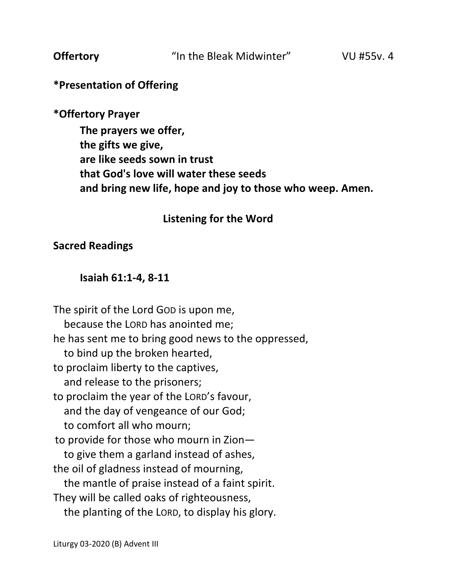# **\*Presentation of Offering**

## **\*Offertory Prayer**

**The prayers we offer, the gifts we give, are like seeds sown in trust that God's love will water these seeds and bring new life, hope and joy to those who weep. Amen.**

## **Listening for the Word**

### **Sacred Readings**

### **Isaiah 61:1-4, 8-11**

The spirit of the Lord GOD is upon me, because the LORD has anointed me; he has sent me to bring good news to the oppressed, to bind up the broken hearted, to proclaim liberty to the captives, and release to the prisoners; to proclaim the year of the LORD's favour, and the day of vengeance of our God; to comfort all who mourn; to provide for those who mourn in Zion to give them a garland instead of ashes, the oil of gladness instead of mourning, the mantle of praise instead of a faint spirit. They will be called oaks of righteousness, the planting of the LORD, to display his glory.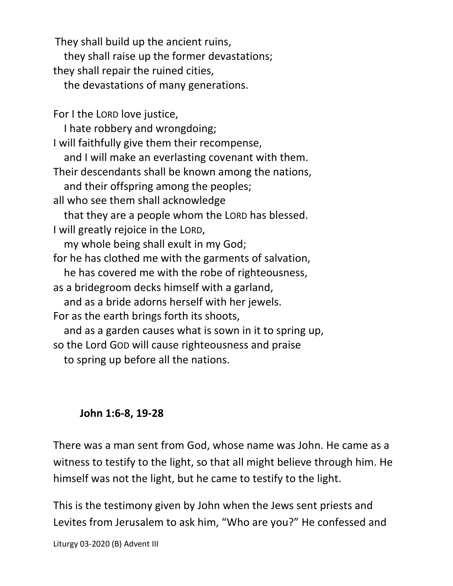They shall build up the ancient ruins, they shall raise up the former devastations; they shall repair the ruined cities, the devastations of many generations. For I the LORD love justice, I hate robbery and wrongdoing; I will faithfully give them their recompense, and I will make an everlasting covenant with them. Their descendants shall be known among the nations, and their offspring among the peoples; all who see them shall acknowledge that they are a people whom the LORD has blessed. I will greatly rejoice in the LORD, my whole being shall exult in my God; for he has clothed me with the garments of salvation, he has covered me with the robe of righteousness, as a bridegroom decks himself with a garland, and as a bride adorns herself with her jewels. For as the earth brings forth its shoots, and as a garden causes what is sown in it to spring up, so the Lord GOD will cause righteousness and praise

to spring up before all the nations.

# **John 1:6-8, 19-28**

There was a man sent from God, whose name was John. He came as a witness to testify to the light, so that all might believe through him. He himself was not the light, but he came to testify to the light.

This is the testimony given by John when the Jews sent priests and Levites from Jerusalem to ask him, "Who are you?" He confessed and

Liturgy 03-2020 (B) Advent III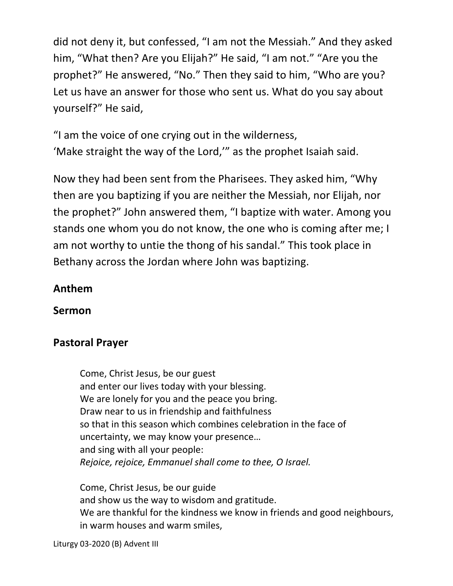did not deny it, but confessed, "I am not the Messiah." And they asked him, "What then? Are you Elijah?" He said, "I am not." "Are you the prophet?" He answered, "No." Then they said to him, "Who are you? Let us have an answer for those who sent us. What do you say about yourself?" He said,

"I am the voice of one crying out in the wilderness, 'Make straight the way of the Lord,'" as the prophet Isaiah said.

Now they had been sent from the Pharisees. They asked him, "Why then are you baptizing if you are neither the Messiah, nor Elijah, nor the prophet?" John answered them, "I baptize with water. Among you stands one whom you do not know, the one who is coming after me; I am not worthy to untie the thong of his sandal." This took place in Bethany across the Jordan where John was baptizing.

# **Anthem**

**Sermon** 

# **Pastoral Prayer**

Come, Christ Jesus, be our guest and enter our lives today with your blessing. We are lonely for you and the peace you bring. Draw near to us in friendship and faithfulness so that in this season which combines celebration in the face of uncertainty, we may know your presence… and sing with all your people: *Rejoice, rejoice, Emmanuel shall come to thee, O Israel.* 

 Come, Christ Jesus, be our guide and show us the way to wisdom and gratitude. We are thankful for the kindness we know in friends and good neighbours, in warm houses and warm smiles,

Liturgy 03-2020 (B) Advent III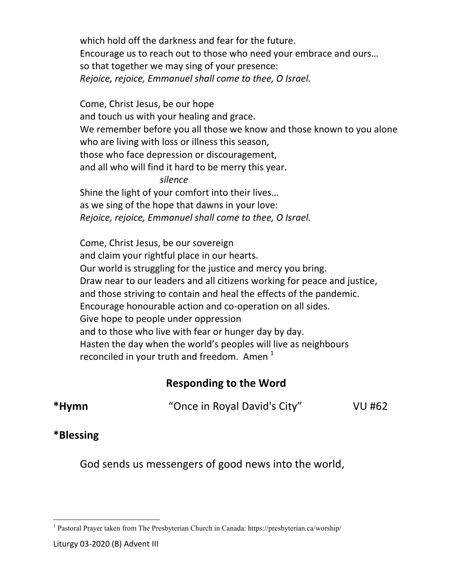which hold off the darkness and fear for the future. Encourage us to reach out to those who need your embrace and ours… so that together we may sing of your presence: *Rejoice, rejoice, Emmanuel shall come to thee, O Israel.* 

 Come, Christ Jesus, be our hope and touch us with your healing and grace. We remember before you all those we know and those known to you alone who are living with loss or illness this season, those who face depression or discouragement, and all who will find it hard to be merry this year.  *silence*  Shine the light of your comfort into their lives…

 as we sing of the hope that dawns in your love: *Rejoice, rejoice, Emmanuel shall come to thee, O Israel.* 

 Come, Christ Jesus, be our sovereign and claim your rightful place in our hearts. Our world is struggling for the justice and mercy you bring. Draw near to our leaders and all citizens working for peace and justice, and those striving to contain and heal the effects of the pandemic. Encourage honourable action and co-operation on all sides. Give hope to people under oppression and to those who live with fear or hunger day by day. Hasten the day when the world's peoples will live as neighbours reconciled in your truth and freedom. Amen  $1$ 

# **Responding to the Word**

**\*Hymn** "Once in Royal David's City" VU #62

# **\*Blessing**

<u>.</u>

God sends us messengers of good news into the world,

<sup>&</sup>lt;sup>1</sup> Pastoral Prayer taken from The Presbyterian Church in Canada: https://presbyterian.ca/worship/